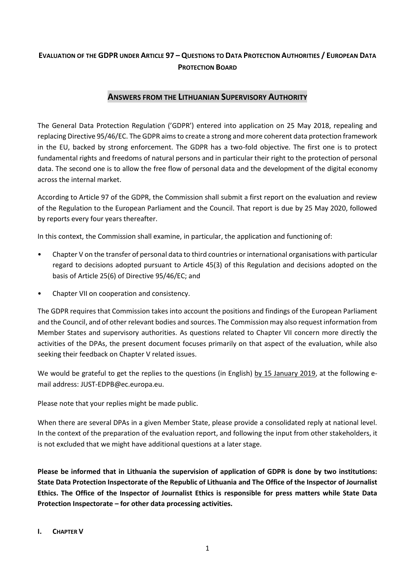# EVALUATION OF THE GDPR UNDER ARTICLE 97 - QUESTIONS TO DATA PROTECTION AUTHORITIES / EUROPEAN DATA **PROTECTION BOARD**

## **ANSWERS FROM THE LITHUANIAN SUPERVISORY AUTHORITY**

The General Data Protection Regulation ('GDPR') entered into application on 25 May 2018, repealing and replacing Directive 95/46/EC. The GDPR aims to create a strong and more coherent data protection framework in the EU, backed by strong enforcement. The GDPR has a two-fold objective. The first one is to protect fundamental rights and freedoms of natural persons and in particular their right to the protection of personal data. The second one is to allow the free flow of personal data and the development of the digital economy across the internal market.

According to Article 97 of the GDPR, the Commission shall submit a first report on the evaluation and review of the Regulation to the European Parliament and the Council. That report is due by 25 May 2020, followed by reports every four years thereafter.

In this context, the Commission shall examine, in particular, the application and functioning of:

- Chapter V on the transfer of personal data to third countries or international organisations with particular regard to decisions adopted pursuant to Article 45(3) of this Regulation and decisions adopted on the basis of Article 25(6) of Directive 95/46/EC; and
- Chapter VII on cooperation and consistency.

The GDPR requires that Commission takes into account the positions and findings of the European Parliament and the Council, and of other relevant bodies and sources. The Commission may also request information from Member States and supervisory authorities. As questions related to Chapter VII concern more directly the activities of the DPAs, the present document focuses primarily on that aspect of the evaluation, while also seeking their feedback on Chapter V related issues.

We would be grateful to get the replies to the questions (in English) by 15 January 2019, at the following email address: JUST-EDPB@ec.europa.eu.

Please note that your replies might be made public.

When there are several DPAs in a given Member State, please provide a consolidated reply at national level. In the context of the preparation of the evaluation report, and following the input from other stakeholders, it is not excluded that we might have additional questions at a later stage.

**Please be informed that in Lithuania the supervision of application of GDPR is done by two institutions: State Data Protection Inspectorate of the Republic of Lithuania and The Office of the Inspector of Journalist Ethics. The Office of the Inspector of Journalist Ethics is responsible for press matters while State Data Protection Inspectorate – for other data processing activities.** 

#### **I. CHAPTER V**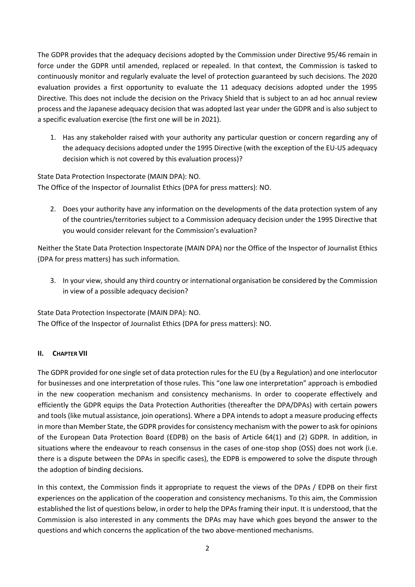The GDPR provides that the adequacy decisions adopted by the Commission under Directive 95/46 remain in force under the GDPR until amended, replaced or repealed. In that context, the Commission is tasked to continuously monitor and regularly evaluate the level of protection guaranteed by such decisions. The 2020 evaluation provides a first opportunity to evaluate the 11 adequacy decisions adopted under the 1995 Directive. This does not include the decision on the Privacy Shield that is subject to an ad hoc annual review process and the Japanese adequacy decision that was adopted last year under the GDPR and is also subject to a specific evaluation exercise (the first one will be in 2021).

1. Has any stakeholder raised with your authority any particular question or concern regarding any of the adequacy decisions adopted under the 1995 Directive (with the exception of the EU-US adequacy decision which is not covered by this evaluation process)?

State Data Protection Inspectorate (MAIN DPA): NO. The Office of the Inspector of Journalist Ethics (DPA for press matters): NO.

2. Does your authority have any information on the developments of the data protection system of any of the countries/territories subject to a Commission adequacy decision under the 1995 Directive that you would consider relevant for the Commission's evaluation?

Neither the State Data Protection Inspectorate (MAIN DPA) nor the Office of the Inspector of Journalist Ethics (DPA for press matters) has such information.

3. In your view, should any third country or international organisation be considered by the Commission in view of a possible adequacy decision?

State Data Protection Inspectorate (MAIN DPA): NO. The Office of the Inspector of Journalist Ethics (DPA for press matters): NO.

## **II. CHAPTER VII**

The GDPR provided for one single set of data protection rules for the EU (by a Regulation) and one interlocutor for businesses and one interpretation of those rules. This "one law one interpretation" approach is embodied in the new cooperation mechanism and consistency mechanisms. In order to cooperate effectively and efficiently the GDPR equips the Data Protection Authorities (thereafter the DPA/DPAs) with certain powers and tools (like mutual assistance, join operations). Where a DPA intends to adopt a measure producing effects in more than Member State, the GDPR provides for consistency mechanism with the power to ask for opinions of the European Data Protection Board (EDPB) on the basis of Article 64(1) and (2) GDPR. In addition, in situations where the endeavour to reach consensus in the cases of one-stop shop (OSS) does not work (i.e. there is a dispute between the DPAs in specific cases), the EDPB is empowered to solve the dispute through the adoption of binding decisions.

In this context, the Commission finds it appropriate to request the views of the DPAs / EDPB on their first experiences on the application of the cooperation and consistency mechanisms. To this aim, the Commission established the list of questions below, in order to help the DPAs framing their input. It is understood, that the Commission is also interested in any comments the DPAs may have which goes beyond the answer to the questions and which concerns the application of the two above-mentioned mechanisms.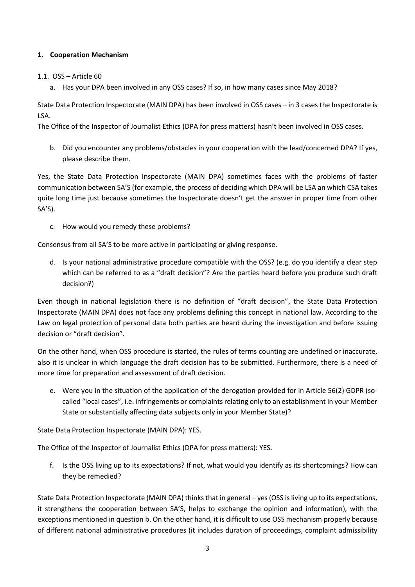## **1. Cooperation Mechanism**

#### 1.1. OSS – Article 60

a. Has your DPA been involved in any OSS cases? If so, in how many cases since May 2018?

State Data Protection Inspectorate (MAIN DPA) has been involved in OSS cases – in 3 cases the Inspectorate is LSA.

The Office of the Inspector of Journalist Ethics (DPA for press matters) hasn't been involved in OSS cases.

b. Did you encounter any problems/obstacles in your cooperation with the lead/concerned DPA? If yes, please describe them.

Yes, the State Data Protection Inspectorate (MAIN DPA) sometimes faces with the problems of faster communication between SA'S (for example, the process of deciding which DPA will be LSA an which CSA takes quite long time just because sometimes the Inspectorate doesn't get the answer in proper time from other SA'S).

c. How would you remedy these problems?

Consensus from all SA'S to be more active in participating or giving response.

d. Is your national administrative procedure compatible with the OSS? (e.g. do you identify a clear step which can be referred to as a "draft decision"? Are the parties heard before you produce such draft decision?)

Even though in national legislation there is no definition of "draft decision", the State Data Protection Inspectorate (MAIN DPA) does not face any problems defining this concept in national law. According to the Law on legal protection of personal data both parties are heard during the investigation and before issuing decision or "draft decision".

On the other hand, when OSS procedure is started, the rules of terms counting are undefined or inaccurate, also it is unclear in which language the draft decision has to be submitted. Furthermore, there is a need of more time for preparation and assessment of draft decision.

e. Were you in the situation of the application of the derogation provided for in Article 56(2) GDPR (socalled "local cases", i.e. infringements or complaints relating only to an establishment in your Member State or substantially affecting data subjects only in your Member State)?

State Data Protection Inspectorate (MAIN DPA): YES.

The Office of the Inspector of Journalist Ethics (DPA for press matters): YES.

f. Is the OSS living up to its expectations? If not, what would you identify as its shortcomings? How can they be remedied?

State Data Protection Inspectorate (MAIN DPA) thinks that in general – yes (OSS is living up to its expectations, it strengthens the cooperation between SA'S, helps to exchange the opinion and information), with the exceptions mentioned in question b. On the other hand, it is difficult to use OSS mechanism properly because of different national administrative procedures (it includes duration of proceedings, complaint admissibility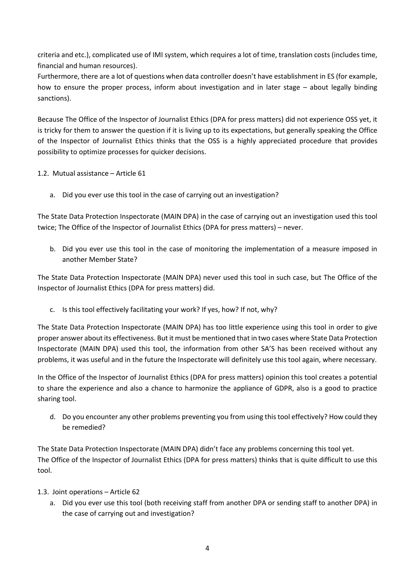criteria and etc.), complicated use of IMI system, which requires a lot of time, translation costs (includes time, financial and human resources).

Furthermore, there are a lot of questions when data controller doesn't have establishment in ES (for example, how to ensure the proper process, inform about investigation and in later stage – about legally binding sanctions).

Because The Office of the Inspector of Journalist Ethics (DPA for press matters) did not experience OSS yet, it is tricky for them to answer the question if it is living up to its expectations, but generally speaking the Office of the Inspector of Journalist Ethics thinks that the OSS is a highly appreciated procedure that provides possibility to optimize processes for quicker decisions.

1.2. Mutual assistance – Article 61

a. Did you ever use this tool in the case of carrying out an investigation?

The State Data Protection Inspectorate (MAIN DPA) in the case of carrying out an investigation used this tool twice; The Office of the Inspector of Journalist Ethics (DPA for press matters) – never.

b. Did you ever use this tool in the case of monitoring the implementation of a measure imposed in another Member State?

The State Data Protection Inspectorate (MAIN DPA) never used this tool in such case, but The Office of the Inspector of Journalist Ethics (DPA for press matters) did.

c. Is this tool effectively facilitating your work? If yes, how? If not, why?

The State Data Protection Inspectorate (MAIN DPA) has too little experience using this tool in order to give proper answer about its effectiveness. But it must be mentioned that in two cases where State Data Protection Inspectorate (MAIN DPA) used this tool, the information from other SA'S has been received without any problems, it was useful and in the future the Inspectorate will definitely use this tool again, where necessary.

In the Office of the Inspector of Journalist Ethics (DPA for press matters) opinion this tool creates a potential to share the experience and also a chance to harmonize the appliance of GDPR, also is a good to practice sharing tool.

d. Do you encounter any other problems preventing you from using this tool effectively? How could they be remedied?

The State Data Protection Inspectorate (MAIN DPA) didn't face any problems concerning this tool yet. The Office of the Inspector of Journalist Ethics (DPA for press matters) thinks that is quite difficult to use this tool.

- 1.3. Joint operations Article 62
	- a. Did you ever use this tool (both receiving staff from another DPA or sending staff to another DPA) in the case of carrying out and investigation?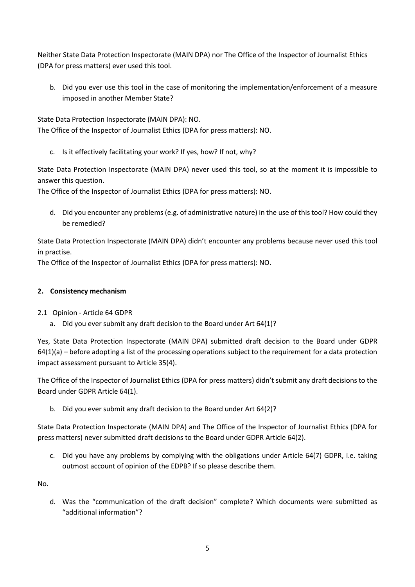Neither State Data Protection Inspectorate (MAIN DPA) nor The Office of the Inspector of Journalist Ethics (DPA for press matters) ever used this tool.

b. Did you ever use this tool in the case of monitoring the implementation/enforcement of a measure imposed in another Member State?

State Data Protection Inspectorate (MAIN DPA): NO.

The Office of the Inspector of Journalist Ethics (DPA for press matters): NO.

c. Is it effectively facilitating your work? If yes, how? If not, why?

State Data Protection Inspectorate (MAIN DPA) never used this tool, so at the moment it is impossible to answer this question.

The Office of the Inspector of Journalist Ethics (DPA for press matters): NO.

d. Did you encounter any problems (e.g. of administrative nature) in the use of this tool? How could they be remedied?

State Data Protection Inspectorate (MAIN DPA) didn't encounter any problems because never used this tool in practise.

The Office of the Inspector of Journalist Ethics (DPA for press matters): NO.

## **2. Consistency mechanism**

## 2.1 Opinion - Article 64 GDPR

a. Did you ever submit any draft decision to the Board under Art 64(1)?

Yes, State Data Protection Inspectorate (MAIN DPA) submitted draft decision to the Board under GDPR  $64(1)(a)$  – before adopting a list of the processing operations subject to the requirement for a data protection impact assessment pursuant to Article 35(4).

The Office of the Inspector of Journalist Ethics (DPA for press matters) didn't submit any draft decisions to the Board under GDPR Article 64(1).

b. Did you ever submit any draft decision to the Board under Art 64(2)?

State Data Protection Inspectorate (MAIN DPA) and The Office of the Inspector of Journalist Ethics (DPA for press matters) never submitted draft decisions to the Board under GDPR Article 64(2).

c. Did you have any problems by complying with the obligations under Article 64(7) GDPR, i.e. taking outmost account of opinion of the EDPB? If so please describe them.

No.

d. Was the "communication of the draft decision" complete? Which documents were submitted as "additional information"?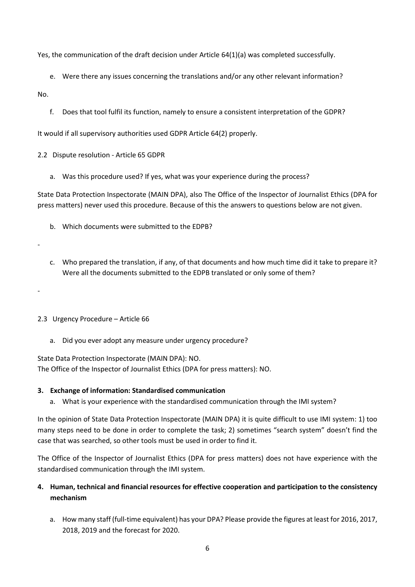Yes, the communication of the draft decision under Article 64(1)(a) was completed successfully.

- e. Were there any issues concerning the translations and/or any other relevant information?
- No.
	- f. Does that tool fulfil its function, namely to ensure a consistent interpretation of the GDPR?

It would if all supervisory authorities used GDPR Article 64(2) properly.

2.2 Dispute resolution - Article 65 GDPR

a. Was this procedure used? If yes, what was your experience during the process?

State Data Protection Inspectorate (MAIN DPA), also The Office of the Inspector of Journalist Ethics (DPA for press matters) never used this procedure. Because of this the answers to questions below are not given.

- b. Which documents were submitted to the EDPB?
- -

-

- c. Who prepared the translation, if any, of that documents and how much time did it take to prepare it? Were all the documents submitted to the EDPB translated or only some of them?
- 2.3 Urgency Procedure Article 66
	- a. Did you ever adopt any measure under urgency procedure?

State Data Protection Inspectorate (MAIN DPA): NO.

The Office of the Inspector of Journalist Ethics (DPA for press matters): NO.

# **3. Exchange of information: Standardised communication**

a. What is your experience with the standardised communication through the IMI system?

In the opinion of State Data Protection Inspectorate (MAIN DPA) it is quite difficult to use IMI system: 1) too many steps need to be done in order to complete the task; 2) sometimes "search system" doesn't find the case that was searched, so other tools must be used in order to find it.

The Office of the Inspector of Journalist Ethics (DPA for press matters) does not have experience with the standardised communication through the IMI system.

# **4. Human, technical and financial resources for effective cooperation and participation to the consistency mechanism**

a. How many staff (full-time equivalent) has your DPA? Please provide the figures at least for 2016, 2017, 2018, 2019 and the forecast for 2020.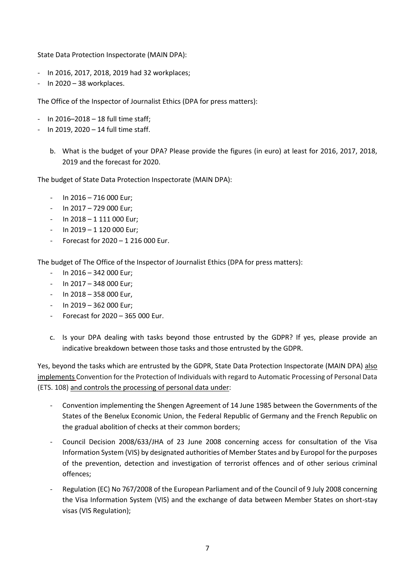State Data Protection Inspectorate (MAIN DPA):

- In 2016, 2017, 2018, 2019 had 32 workplaces;
- In 2020 38 workplaces.

The Office of the Inspector of Journalist Ethics (DPA for press matters):

- In 2016–2018 18 full time staff;
- In 2019, 2020 14 full time staff.
	- b. What is the budget of your DPA? Please provide the figures (in euro) at least for 2016, 2017, 2018, 2019 and the forecast for 2020.

The budget of State Data Protection Inspectorate (MAIN DPA):

- $-$  In 2016 716 000 Eur:
- In 2017 729 000 Eur;
- $-$  In 2018 1 111 000 Eur;
- $-$  In 2019 1 120 000 Eur;
- Forecast for  $2020 1216000$  Eur.

The budget of The Office of the Inspector of Journalist Ethics (DPA for press matters):

- $-$  In 2016 342 000 Eur;
- $-$  In 2017 348 000 Eur:
- $-$  In 2018 358 000 Eur,
- $-$  In 2019 362 000 Eur:
- Forecast for 2020 365 000 Eur.
- c. Is your DPA dealing with tasks beyond those entrusted by the GDPR? If yes, please provide an indicative breakdown between those tasks and those entrusted by the GDPR.

Yes, beyond the tasks which are entrusted by the GDPR, State Data Protection Inspectorate (MAIN DPA) also implements Convention for the Protection of Individuals with regard to Automatic Processing of Personal Data (ETS. 108) and controls the processing of personal data under:

- Convention implementing the Shengen Agreement of 14 June 1985 between the Governments of the States of the Benelux Economic Union, the Federal Republic of Germany and the French Republic on the gradual abolition of checks at their common borders;
- Council Decision 2008/633/JHA of 23 June 2008 concerning access for consultation of the Visa Information System (VIS) by designated authorities of Member States and by Europol for the purposes of the prevention, detection and investigation of terrorist offences and of other serious criminal offences;
- Regulation (EC) No 767/2008 of the European Parliament and of the Council of 9 July 2008 concerning the Visa Information System (VIS) and the exchange of data between Member States on short-stay visas (VIS Regulation);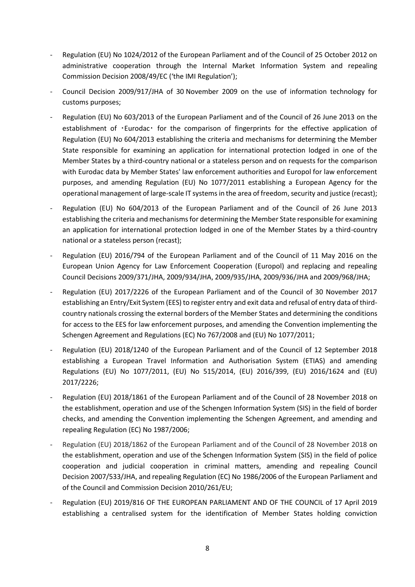- Regulation (EU) No 1024/2012 of the European Parliament and of the Council of 25 October 2012 on administrative cooperation through the Internal Market Information System and repealing Commission Decision 2008/49/EC ('the IMI Regulation');
- Council Decision 2009/917/JHA of 30 [November 2009 on the use of information technology for](https://eur-lex.europa.eu/legal-content/EN/AUTO/?uri=uriserv:OJ.L_.2009.323.01.0020.01.ENG&toc=OJ:L:2009:323:FULL)  [customs purposes;](https://eur-lex.europa.eu/legal-content/EN/AUTO/?uri=uriserv:OJ.L_.2009.323.01.0020.01.ENG&toc=OJ:L:2009:323:FULL)
- Regulation (EU) No 603/2013 of the European Parliament and of the Council of 26 June 2013 on the establishment of ·Eurodac· for the comparison of fingerprints for the effective application of Regulation (EU) No 604/2013 establishing the criteria and mechanisms for determining the Member State responsible for examining an application for international protection lodged in one of the Member States by a third-country national or a stateless person and on requests for the comparison with Eurodac data by Member States' law enforcement authorities and Europol for law enforcement purposes, and amending Regulation (EU) No 1077/2011 establishing a European Agency for the operational management of large-scale IT systems in the area of freedom, security and justice (recast);
- Regulation (EU) No 604/2013 of the European Parliament and of the Council of 26 June 2013 establishing the criteria and mechanisms for determining the Member State responsible for examining an application for international protection lodged in one of the Member States by a third-country national or a stateless person (recast);
- Regulation (EU) 2016/794 of the European Parliament and of the Council of 11 May 2016 on the European Union Agency for Law Enforcement Cooperation (Europol) and replacing and repealing Council Decisions 2009/371/JHA, 2009/934/JHA, 2009/935/JHA, 2009/936/JHA and 2009/968/JHA;
- Regulation (EU) 2017/2226 of the European Parliament and of the Council of 30 November 2017 establishing an Entry/Exit System (EES) to register entry and exit data and refusal of entry data of thirdcountry nationals crossing the external borders of the Member States and determining the conditions for access to the EES for law enforcement purposes, and amending the Convention implementing the Schengen Agreement and Regulations (EC) No 767/2008 and (EU) No 1077/2011;
- Regulation (EU) 2018/1240 of the European Parliament and of the Council of 12 September 2018 establishing a European Travel Information and Authorisation System (ETIAS) and amending Regulations (EU) No 1077/2011, (EU) No 515/2014, (EU) 2016/399, (EU) 2016/1624 and (EU) 2017/2226;
- Regulation (EU) 2018/1861 of the European Parliament and of the Council of 28 November 2018 on the establishment, operation and use of the Schengen Information System (SIS) in the field of border checks, and amending the Convention implementing the Schengen Agreement, and amending and repealing Regulation (EC) No 1987/2006;
- Regulation (EU) 2018/1862 of the European Parliament and of the Council of 28 November 2018 on the establishment, operation and use of the Schengen Information System (SIS) in the field of police cooperation and judicial cooperation in criminal matters, amending and repealing Council Decision 2007/533/JHA, and repealing Regulation (EC) No 1986/2006 of the European Parliament and of the Council and Commission Decision 2010/261/EU;
- Regulation (EU) 2019/816 OF THE EUROPEAN PARLIAMENT AND OF THE COUNCIL of 17 April 2019 establishing a centralised system for the identification of Member States holding conviction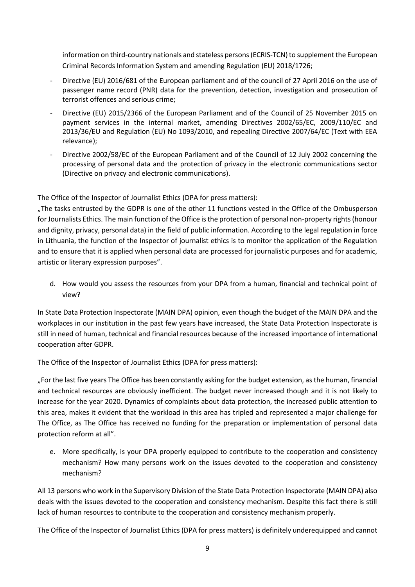information on third-country nationals and stateless persons (ECRIS-TCN) to supplement the European Criminal Records Information System and amending Regulation (EU) 2018/1726;

- Directive (EU) 2016/681 of the European parliament and of the council of 27 April 2016 on the use of passenger name record (PNR) data for the prevention, detection, investigation and prosecution of terrorist offences and serious crime;
- Directive (EU) 2015/2366 of the European Parliament and of the Council of 25 November 2015 on payment services in the internal market, amending Directives 2002/65/EC, 2009/110/EC and 2013/36/EU and Regulation (EU) No 1093/2010, and repealing Directive 2007/64/EC (Text with EEA relevance);
- Directive 2002/58/EC of the European Parliament and of the Council of 12 July 2002 concerning the processing of personal data and the protection of privacy in the electronic communications sector (Directive on privacy and electronic communications).

The Office of the Inspector of Journalist Ethics (DPA for press matters):

"The tasks entrusted by the GDPR is one of the other 11 functions vested in the Office of the Ombusperson for Journalists Ethics. The main function of the Office is the protection of personal non-property rights (honour and dignity, privacy, personal data) in the field of public information. According to the legal regulation in force in Lithuania, the function of the Inspector of journalist ethics is to monitor the application of the Regulation and to ensure that it is applied when personal data are processed for journalistic purposes and for academic, artistic or literary expression purposes".

d. How would you assess the resources from your DPA from a human, financial and technical point of view?

In State Data Protection Inspectorate (MAIN DPA) opinion, even though the budget of the MAIN DPA and the workplaces in our institution in the past few years have increased, the State Data Protection Inspectorate is still in need of human, technical and financial resources because of the increased importance of international cooperation after GDPR.

The Office of the Inspector of Journalist Ethics (DPA for press matters):

"For the last five years The Office has been constantly asking for the budget extension, as the human, financial and technical resources are obviously inefficient. The budget never increased though and it is not likely to increase for the year 2020. Dynamics of complaints about data protection, the increased public attention to this area, makes it evident that the workload in this area has tripled and represented a major challenge for The Office, as The Office has received no funding for the preparation or implementation of personal data protection reform at all".

e. More specifically, is your DPA properly equipped to contribute to the cooperation and consistency mechanism? How many persons work on the issues devoted to the cooperation and consistency mechanism?

All 13 persons who work in the Supervisory Division of the State Data Protection Inspectorate (MAIN DPA) also deals with the issues devoted to the cooperation and consistency mechanism. Despite this fact there is still lack of human resources to contribute to the cooperation and consistency mechanism properly.

The Office of the Inspector of Journalist Ethics (DPA for press matters) is definitely underequipped and cannot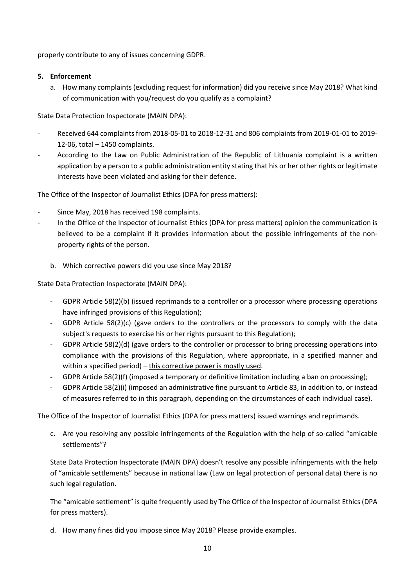properly contribute to any of issues concerning GDPR.

#### **5. Enforcement**

a. How many complaints (excluding request for information) did you receive since May 2018? What kind of communication with you/request do you qualify as a complaint?

State Data Protection Inspectorate (MAIN DPA):

- Received 644 complaints from 2018-05-01 to 2018-12-31 and 806 complaints from 2019-01-01 to 2019- 12-06, total – 1450 complaints.
- According to the Law on Public Administration of the Republic of Lithuania complaint is a written application by a person to a public administration entity stating that his or her other rights or legitimate interests have been violated and asking for their defence.

The Office of the Inspector of Journalist Ethics (DPA for press matters):

- Since May, 2018 has received 198 complaints.
- In the Office of the Inspector of Journalist Ethics (DPA for press matters) opinion the communication is believed to be a complaint if it provides information about the possible infringements of the nonproperty rights of the person.
	- b. Which corrective powers did you use since May 2018?

State Data Protection Inspectorate (MAIN DPA):

- GDPR Article 58(2)(b) (issued reprimands to a controller or a processor where processing operations have infringed provisions of this Regulation);
- GDPR Article 58(2)(c) (gave orders to the controllers or the processors to comply with the data subject's requests to exercise his or her rights pursuant to this Regulation);
- GDPR Article 58(2)(d) (gave orders to the controller or processor to bring processing operations into compliance with the provisions of this Regulation, where appropriate, in a specified manner and within a specified period) – this corrective power is mostly used.
- GDPR Article 58(2)(f) (imposed a temporary or definitive limitation including a ban on processing);
- GDPR Article 58(2)(i) (imposed an administrative fine pursuant to Article 83, in addition to, or instead of measures referred to in this paragraph, depending on the circumstances of each individual case).

The Office of the Inspector of Journalist Ethics (DPA for press matters) issued warnings and reprimands.

c. Are you resolving any possible infringements of the Regulation with the help of so-called "amicable settlements"?

State Data Protection Inspectorate (MAIN DPA) doesn't resolve any possible infringements with the help of "amicable settlements" because in national law (Law on legal protection of personal data) there is no such legal regulation.

The "amicable settlement" is quite frequently used by The Office of the Inspector of Journalist Ethics (DPA for press matters).

d. How many fines did you impose since May 2018? Please provide examples.